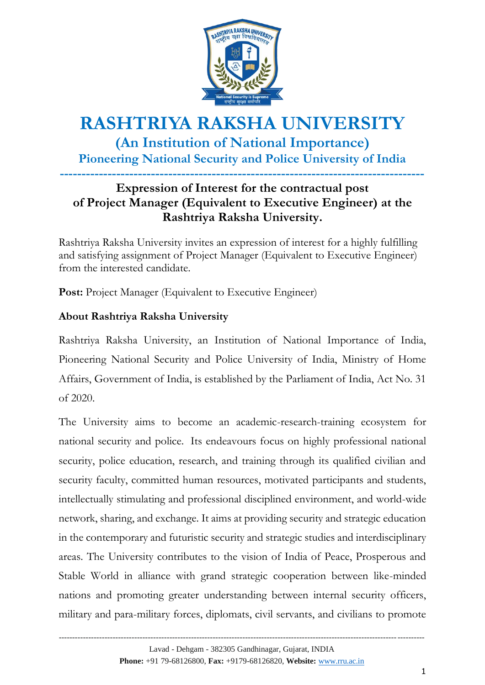

# **RASHTRIYA RAKSHA UNIVERSITY (An Institution of National Importance) Pioneering National Security and Police University of India ------------------------------------------------------------------------------------**

### **Expression of Interest for the contractual post of Project Manager (Equivalent to Executive Engineer) at the Rashtriya Raksha University.**

Rashtriya Raksha University invites an expression of interest for a highly fulfilling and satisfying assignment of Project Manager (Equivalent to Executive Engineer) from the interested candidate.

Post: Project Manager (Equivalent to Executive Engineer)

#### **About Rashtriya Raksha University**

Rashtriya Raksha University, an Institution of National Importance of India, Pioneering National Security and Police University of India, Ministry of Home Affairs, Government of India, is established by the Parliament of India, Act No. 31 of 2020.

The University aims to become an academic-research-training ecosystem for national security and police. Its endeavours focus on highly professional national security, police education, research, and training through its qualified civilian and security faculty, committed human resources, motivated participants and students, intellectually stimulating and professional disciplined environment, and world-wide network, sharing, and exchange. It aims at providing security and strategic education in the contemporary and futuristic security and strategic studies and interdisciplinary areas. The University contributes to the vision of India of Peace, Prosperous and Stable World in alliance with grand strategic cooperation between like-minded nations and promoting greater understanding between internal security officers, military and para-military forces, diplomats, civil servants, and civilians to promote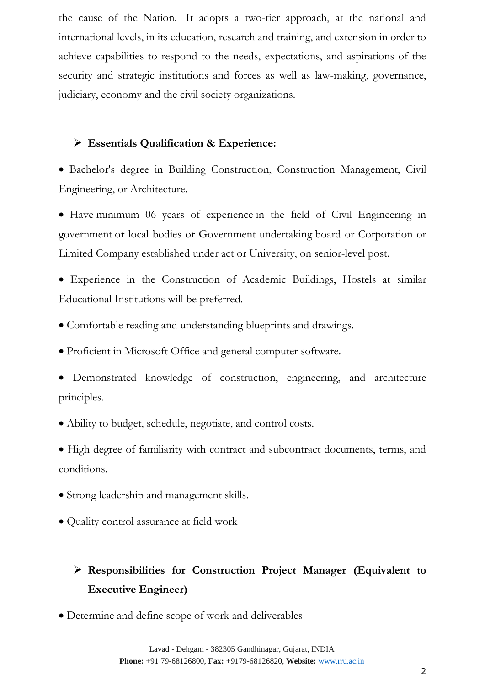the cause of the Nation. It adopts a two-tier approach, at the national and international levels, in its education, research and training, and extension in order to achieve capabilities to respond to the needs, expectations, and aspirations of the security and strategic institutions and forces as well as law-making, governance, judiciary, economy and the civil society organizations.

#### **Essentials Qualification & Experience:**

 Bachelor's degree in Building Construction, Construction Management, Civil Engineering, or Architecture.

 Have minimum 06 years of experience in the field of Civil Engineering in government or local bodies or Government undertaking board or Corporation or Limited Company established under act or University, on senior-level post.

 Experience in the Construction of Academic Buildings, Hostels at similar Educational Institutions will be preferred.

- Comfortable reading and understanding blueprints and drawings.
- Proficient in Microsoft Office and general computer software.
- Demonstrated knowledge of construction, engineering, and architecture principles.
- Ability to budget, schedule, negotiate, and control costs.

 High degree of familiarity with contract and subcontract documents, terms, and conditions.

- Strong leadership and management skills.
- Quality control assurance at field work

## **Responsibilities for Construction Project Manager (Equivalent to Executive Engineer)**

Determine and define scope of work and deliverables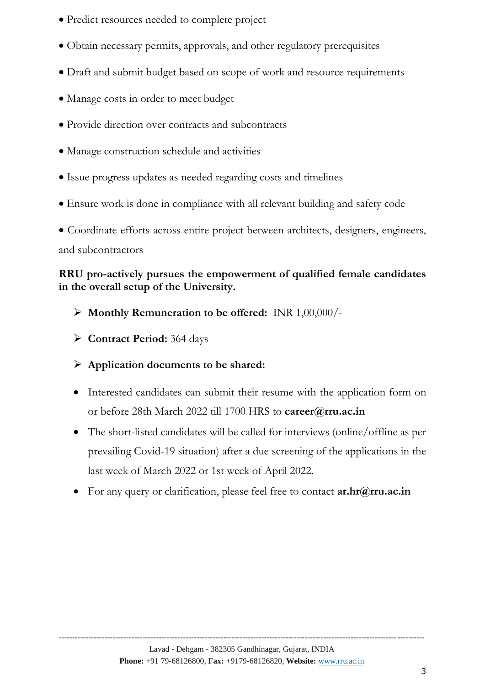- Predict resources needed to complete project
- Obtain necessary permits, approvals, and other regulatory prerequisites
- Draft and submit budget based on scope of work and resource requirements
- Manage costs in order to meet budget
- Provide direction over contracts and subcontracts
- Manage construction schedule and activities
- Issue progress updates as needed regarding costs and timelines
- Ensure work is done in compliance with all relevant building and safety code

 Coordinate efforts across entire project between architects, designers, engineers, and subcontractors

### **RRU pro-actively pursues the empowerment of qualified female candidates in the overall setup of the University.**

- **Monthly Remuneration to be offered:** INR 1,00,000/-
- **Contract Period:** 364 days
- **Application documents to be shared:**
- Interested candidates can submit their resume with the application form on or before 28th March 2022 till 1700 HRS to **[career@rru.ac.in](mailto:career@rru.ac.in)**
- The short-listed candidates will be called for interviews (online/offline as per prevailing Covid-19 situation) after a due screening of the applications in the last week of March 2022 or 1st week of April 2022.
- For any query or clarification, please feel free to contact **[ar.hr@rru.ac.in](mailto:ar.hr@rru.ac.in)**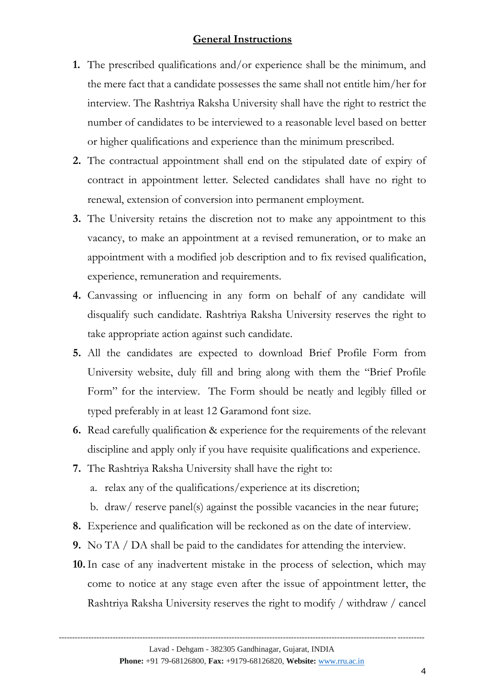#### **General Instructions**

- **1.** The prescribed qualifications and/or experience shall be the minimum, and the mere fact that a candidate possesses the same shall not entitle him/her for interview. The Rashtriya Raksha University shall have the right to restrict the number of candidates to be interviewed to a reasonable level based on better or higher qualifications and experience than the minimum prescribed.
- **2.** The contractual appointment shall end on the stipulated date of expiry of contract in appointment letter. Selected candidates shall have no right to renewal, extension of conversion into permanent employment.
- **3.** The University retains the discretion not to make any appointment to this vacancy, to make an appointment at a revised remuneration, or to make an appointment with a modified job description and to fix revised qualification, experience, remuneration and requirements.
- **4.** Canvassing or influencing in any form on behalf of any candidate will disqualify such candidate. Rashtriya Raksha University reserves the right to take appropriate action against such candidate.
- **5.** All the candidates are expected to download Brief Profile Form from University website, duly fill and bring along with them the "Brief Profile Form" for the interview. The Form should be neatly and legibly filled or typed preferably in at least 12 Garamond font size.
- **6.** Read carefully qualification & experience for the requirements of the relevant discipline and apply only if you have requisite qualifications and experience.
- **7.** The Rashtriya Raksha University shall have the right to:
	- a. relax any of the qualifications/experience at its discretion;
	- b. draw/ reserve panel(s) against the possible vacancies in the near future;
- **8.** Experience and qualification will be reckoned as on the date of interview.
- **9.** No TA / DA shall be paid to the candidates for attending the interview.
- **10.**In case of any inadvertent mistake in the process of selection, which may come to notice at any stage even after the issue of appointment letter, the Rashtriya Raksha University reserves the right to modify / withdraw / cancel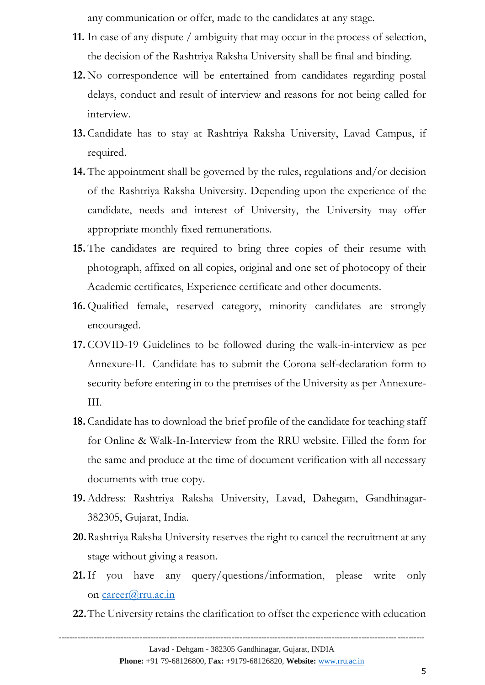any communication or offer, made to the candidates at any stage.

- **11.** In case of any dispute / ambiguity that may occur in the process of selection, the decision of the Rashtriya Raksha University shall be final and binding.
- **12.** No correspondence will be entertained from candidates regarding postal delays, conduct and result of interview and reasons for not being called for interview.
- **13.**Candidate has to stay at Rashtriya Raksha University, Lavad Campus, if required.
- **14.** The appointment shall be governed by the rules, regulations and/or decision of the Rashtriya Raksha University. Depending upon the experience of the candidate, needs and interest of University, the University may offer appropriate monthly fixed remunerations.
- **15.** The candidates are required to bring three copies of their resume with photograph, affixed on all copies, original and one set of photocopy of their Academic certificates, Experience certificate and other documents.
- **16.** Qualified female, reserved category, minority candidates are strongly encouraged.
- **17.**COVID-19 Guidelines to be followed during the walk-in-interview as per Annexure-II. Candidate has to submit the Corona self-declaration form to security before entering in to the premises of the University as per Annexure-III.
- **18.**Candidate has to download the brief profile of the candidate for teaching staff for Online & Walk-In-Interview from the RRU website. Filled the form for the same and produce at the time of document verification with all necessary documents with true copy.
- **19.**Address: Rashtriya Raksha University, Lavad, Dahegam, Gandhinagar-382305, Gujarat, India.
- **20.**Rashtriya Raksha University reserves the right to cancel the recruitment at any stage without giving a reason.
- **21.**If you have any query/questions/information, please write only on [career@rru.ac.in](mailto:career@rru.ac.in)
- **22.**The University retains the clarification to offset the experience with education